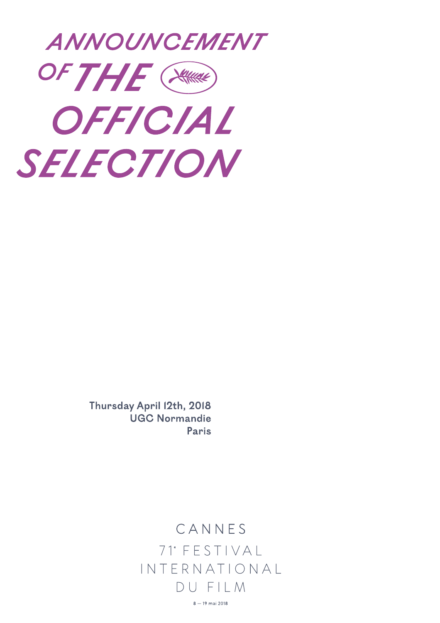

Thursday April 12th, 2018 **UGC Normandie** Paris

## CANNES 71<sup>e</sup> FESTIVAL INTERNATIONAL DU FII M

 $8 - 19$  mai 2018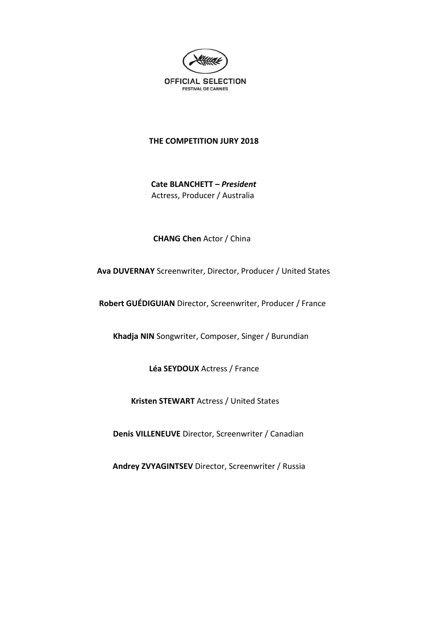

#### **THE COMPETITION JURY 2018**

 **Cate BLANCHETT –** *President* Actress, Producer / Australia

 **CHANG Chen** Actor / China

 **Ava DUVERNAY** Screenwriter, Director, Producer / United States

 **Robert GUÉDIGUIAN** Director, Screenwriter, Producer / France

 **Khadja NIN** Songwriter, Composer, Singer / Burundian

 **Léa SEYDOUX** Actress / France

 **Kristen STEWART** Actress / United States

 **Denis VILLENEUVE** Director, Screenwriter / Canadian

 **Andrey ZVYAGINTSEV** Director, Screenwriter / Russia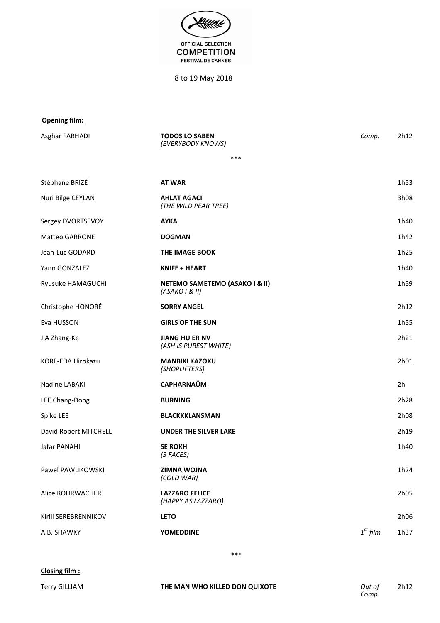

8 to 19 May 2018

#### **Opening film:**

| Asghar FARHADI        | <b>TODOS LO SABEN</b><br>(EVERYBODY KNOWS)      | Comp.      | 2h12             |
|-----------------------|-------------------------------------------------|------------|------------------|
|                       | ***                                             |            |                  |
| Stéphane BRIZÉ        | <b>AT WAR</b>                                   |            | 1h <sub>53</sub> |
| Nuri Bilge CEYLAN     | <b>AHLAT AGACI</b><br>(THE WILD PEAR TREE)      |            | 3h08             |
| Sergey DVORTSEVOY     | <b>AYKA</b>                                     |            | 1h40             |
| <b>Matteo GARRONE</b> | <b>DOGMAN</b>                                   |            | 1h42             |
| Jean-Luc GODARD       | THE IMAGE BOOK                                  |            | 1h25             |
| Yann GONZALEZ         | <b>KNIFE + HEART</b>                            |            | 1h40             |
| Ryusuke HAMAGUCHI     | NETEMO SAMETEMO (ASAKO I & II)<br>(ASAKO I & H) |            | 1h59             |
| Christophe HONORÉ     | <b>SORRY ANGEL</b>                              |            | 2h12             |
| Eva HUSSON            | <b>GIRLS OF THE SUN</b>                         |            | 1h55             |
| JIA Zhang-Ke          | <b>JIANG HU ER NV</b><br>(ASH IS PUREST WHITE)  |            | 2h21             |
| KORE-EDA Hirokazu     | <b>MANBIKI KAZOKU</b><br>(SHOPLIFTERS)          |            | 2h01             |
| Nadine LABAKI         | <b>CAPHARNAÜM</b>                               |            | 2 <sub>h</sub>   |
| LEE Chang-Dong        | <b>BURNING</b>                                  |            | 2h28             |
| Spike LEE             | <b>BLACKKKLANSMAN</b>                           |            | 2h08             |
| David Robert MITCHELL | <b>UNDER THE SILVER LAKE</b>                    |            | 2h19             |
| Jafar PANAHI          | <b>SE ROKH</b><br>(3 FACES)                     |            | 1h40             |
| Pawel PAWLIKOWSKI     | <b>ZIMNA WOJNA</b><br>(COLD WAR)                |            | 1h24             |
| Alice ROHRWACHER      | <b>LAZZARO FELICE</b><br>(HAPPY AS LAZZARO)     |            | 2h05             |
| Kirill SEREBRENNIKOV  | <b>LETO</b>                                     |            | 2h06             |
| A.B. SHAWKY           | <b>YOMEDDINE</b>                                | $1st$ film | 1h37             |

\*\*\*

**Closing film :**

Terry GILLIAM **THE MAN WHO KILLED DON QUIXOTE** *Out of*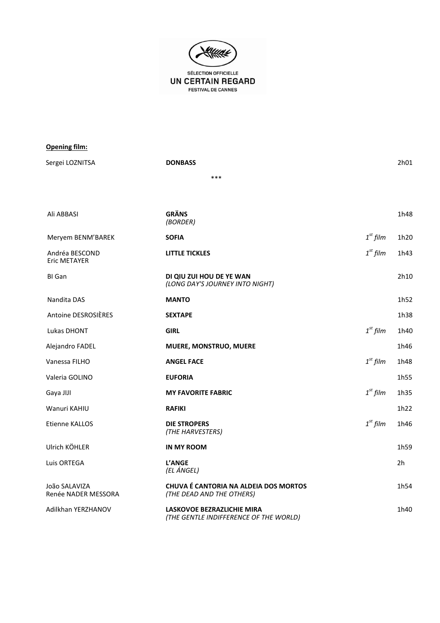

| <b>Opening film:</b>                 |                                                                           |               |                |
|--------------------------------------|---------------------------------------------------------------------------|---------------|----------------|
| Sergei LOZNITSA                      | <b>DONBASS</b>                                                            |               | 2h01           |
|                                      | ***                                                                       |               |                |
|                                      |                                                                           |               |                |
| Ali ABBASI                           | <b>GRÄNS</b><br>(BORDER)                                                  |               | 1h48           |
| Meryem BENM'BAREK                    | <b>SOFIA</b>                                                              | $1st$ film    | 1h20           |
| Andréa BESCOND<br>Eric METAYER       | <b>LITTLE TICKLES</b>                                                     | $1^{st}$ film | 1h43           |
| BI Gan                               | DI QIU ZUI HOU DE YE WAN<br>(LONG DAY'S JOURNEY INTO NIGHT)               |               | 2h10           |
| Nandita DAS                          | <b>MANTO</b>                                                              |               | 1h52           |
| Antoine DESROSIÈRES                  | <b>SEXTAPE</b>                                                            |               | 1h38           |
| Lukas DHONT                          | <b>GIRL</b>                                                               | $1st$ film    | 1h40           |
| Alejandro FADEL                      | MUERE, MONSTRUO, MUERE                                                    |               | 1h46           |
| Vanessa FILHO                        | <b>ANGEL FACE</b>                                                         | $1st$ film    | 1h48           |
| Valeria GOLINO                       | <b>EUFORIA</b>                                                            |               | 1h55           |
| Gaya JIJI                            | <b>MY FAVORITE FABRIC</b>                                                 | $1st$ film    | 1h35           |
| Wanuri KAHIU                         | <b>RAFIKI</b>                                                             |               | 1h22           |
| Etienne KALLOS                       | <b>DIE STROPERS</b><br>(THE HARVESTERS)                                   | $1st$ film    | 1h46           |
| Ulrich KÖHLER                        | <b>IN MY ROOM</b>                                                         |               | 1h59           |
| Luis ORTEGA                          | L'ANGE<br>(EL ÁNGEL)                                                      |               | 2 <sub>h</sub> |
| João SALAVIZA<br>Renée NADER MESSORA | <b>CHUVA É CANTORIA NA ALDEIA DOS MORTOS</b><br>(THE DEAD AND THE OTHERS) |               | 1h54           |
| Adilkhan YERZHANOV                   | LASKOVOE BEZRAZLICHIE MIRA                                                |               | 1h40           |

*(THE GENTLE INDIFFERENCE OF THE WORLD)*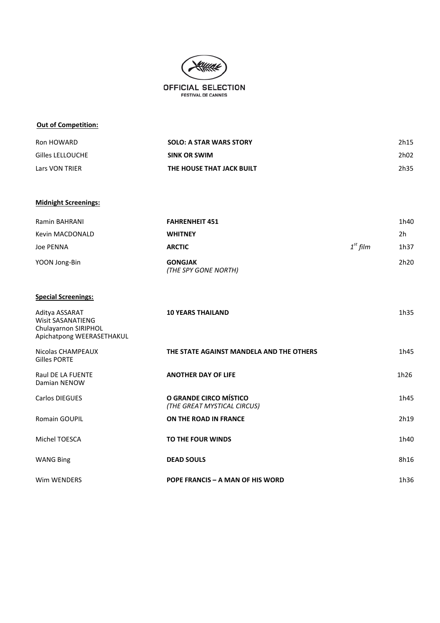

#### **Out of Competition:**

| Ron HOWARD       | <b>SOLO: A STAR WARS STORY</b> | 2h15 |
|------------------|--------------------------------|------|
| Gilles LELLOUCHE | <b>SINK OR SWIM</b>            | 2h02 |
| Lars VON TRIER   | THE HOUSE THAT JACK BUILT      | 2h35 |

#### **Midnight Screenings:**

| Ramin BAHRANI   | <b>FAHRENHEIT 451</b>                  |            | 1h40             |
|-----------------|----------------------------------------|------------|------------------|
| Kevin MACDONALD | <b>WHITNEY</b>                         |            | 2h               |
| Joe PENNA       | <b>ARCTIC</b>                          | $1st$ film | 1h37             |
| YOON Jong-Bin   | <b>GONGJAK</b><br>(THE SPY GONE NORTH) |            | 2h <sub>20</sub> |

#### **Special Screenings:**

| Aditya ASSARAT<br><b>Wisit SASANATIENG</b><br>Chulayarnon SIRIPHOL<br>Apichatpong WEERASETHAKUL | <b>10 YEARS THAILAND</b>                              | 1h35 |
|-------------------------------------------------------------------------------------------------|-------------------------------------------------------|------|
| Nicolas CHAMPEAUX<br>Gilles PORTE                                                               | THE STATE AGAINST MANDELA AND THE OTHERS              | 1h45 |
| <b>Raul DE LA FUENTE</b><br>Damian NENOW                                                        | <b>ANOTHER DAY OF LIFE</b>                            | 1h26 |
| Carlos DIEGUES                                                                                  | O GRANDE CIRCO MÍSTICO<br>(THE GREAT MYSTICAL CIRCUS) | 1h45 |
| <b>Romain GOUPIL</b>                                                                            | ON THE ROAD IN FRANCE                                 | 2h19 |
| Michel TOESCA                                                                                   | TO THE FOUR WINDS                                     | 1h40 |
| <b>WANG Bing</b>                                                                                | <b>DEAD SOULS</b>                                     | 8h16 |
| Wim WENDERS                                                                                     | <b>POPE FRANCIS - A MAN OF HIS WORD</b>               | 1h36 |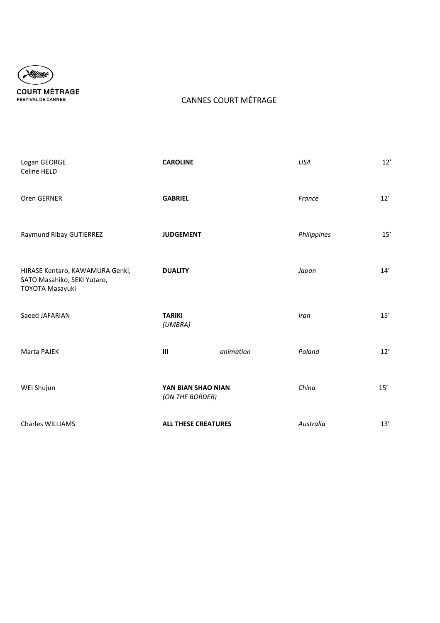

### CANNES COURT MÉTRAGE

| Logan GEORGE<br>Celine HELD                                                       | <b>CAROLINE</b>                       |           | <b>USA</b>  | 12'   |
|-----------------------------------------------------------------------------------|---------------------------------------|-----------|-------------|-------|
| Oren GERNER                                                                       | <b>GABRIEL</b>                        |           | France      | 12'   |
| Raymund Ribay GUTIERREZ                                                           | <b>JUDGEMENT</b>                      |           | Philippines | 15'   |
| HIRASE Kentaro, KAWAMURA Genki,<br>SATO Masahiko, SEKI Yutaro,<br>TOYOTA Masayuki | <b>DUALITY</b>                        |           | Japan       | 14'   |
| Saeed JAFARIAN                                                                    | <b>TARIKI</b><br>(UMBRA)              |           | Iran        | 15'   |
| Marta PAJEK                                                                       | $\mathbf{III}$                        | animation | Poland      | $12'$ |
| WEI Shujun                                                                        | YAN BIAN SHAO NIAN<br>(ON THE BORDER) |           | China       | 15'   |
| <b>Charles WILLIAMS</b>                                                           | <b>ALL THESE CREATURES</b>            |           | Australia   | 13'   |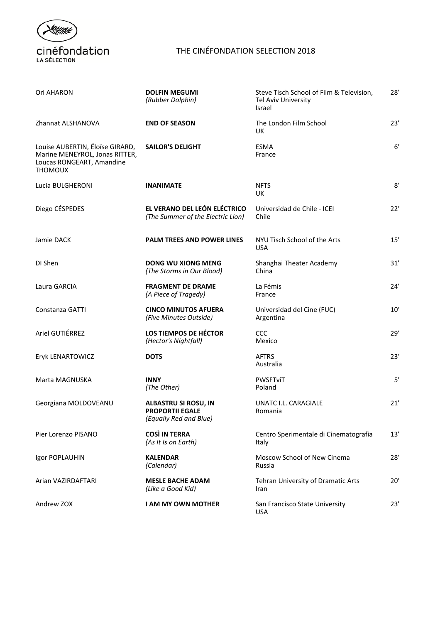

### THE CINÉFONDATION SELECTION 2018

| Ori AHARON                                                                                                       | <b>DOLFIN MEGUMI</b><br>(Rubber Dolphin)                                        | Steve Tisch School of Film & Television,<br>Tel Aviv University<br>Israel | 28'          |
|------------------------------------------------------------------------------------------------------------------|---------------------------------------------------------------------------------|---------------------------------------------------------------------------|--------------|
| Zhannat ALSHANOVA                                                                                                | <b>END OF SEASON</b>                                                            | The London Film School<br>UK                                              | 23'          |
| Louise AUBERTIN, Éloïse GIRARD,<br>Marine MENEYROL, Jonas RITTER,<br>Loucas RONGEART, Amandine<br><b>THOMOUX</b> | <b>SAILOR'S DELIGHT</b>                                                         | <b>ESMA</b><br>France                                                     | $6^{\prime}$ |
| Lucia BULGHERONI                                                                                                 | <b>INANIMATE</b>                                                                | <b>NFTS</b><br>UK                                                         | 8'           |
| Diego CÉSPEDES                                                                                                   | EL VERANO DEL LEÓN ELÉCTRICO<br>(The Summer of the Electric Lion)               | Universidad de Chile - ICEI<br>Chile                                      | 22'          |
| Jamie DACK                                                                                                       | PALM TREES AND POWER LINES                                                      | NYU Tisch School of the Arts<br><b>USA</b>                                | 15'          |
| DI Shen                                                                                                          | DONG WU XIONG MENG<br>(The Storms in Our Blood)                                 | Shanghai Theater Academy<br>China                                         | 31'          |
| Laura GARCIA                                                                                                     | <b>FRAGMENT DE DRAME</b><br>(A Piece of Tragedy)                                | La Fémis<br>France                                                        | 24'          |
| Constanza GATTI                                                                                                  | <b>CINCO MINUTOS AFUERA</b><br>(Five Minutes Outside)                           | Universidad del Cine (FUC)<br>Argentina                                   | 10'          |
| Ariel GUTIÉRREZ                                                                                                  | LOS TIEMPOS DE HÉCTOR<br>(Hector's Nightfall)                                   | CCC<br>Mexico                                                             | 29'          |
| Eryk LENARTOWICZ                                                                                                 | <b>DOTS</b>                                                                     | AFTRS<br>Australia                                                        | 23'          |
| Marta MAGNUSKA                                                                                                   | <b>INNY</b><br>(The Other)                                                      | PWSFTviT<br>Poland                                                        | 5'           |
| Georgiana MOLDOVEANU                                                                                             | <b>ALBASTRU SI ROSU, IN</b><br><b>PROPORTII EGALE</b><br>(Equally Red and Blue) | UNATC I.L. CARAGIALE<br>Romania                                           | 21'          |
| Pier Lorenzo PISANO                                                                                              | <b>COSÌ IN TERRA</b><br>(As It Is on Earth)                                     | Centro Sperimentale di Cinematografia<br>Italy                            | 13'          |
| Igor POPLAUHIN                                                                                                   | <b>KALENDAR</b><br>(Calendar)                                                   | Moscow School of New Cinema<br>Russia                                     | 28'          |
| Arian VAZIRDAFTARI                                                                                               | <b>MESLE BACHE ADAM</b><br>(Like a Good Kid)                                    | Tehran University of Dramatic Arts<br>Iran                                | 20'          |
| Andrew ZOX                                                                                                       | <b>I AM MY OWN MOTHER</b>                                                       | San Francisco State University<br><b>USA</b>                              | 23'          |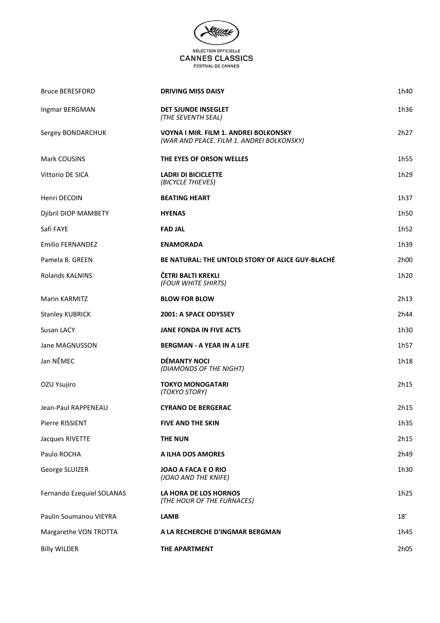

| <b>Bruce BERESFORD</b>    | <b>DRIVING MISS DAISY</b>                                                                 | 1h40 |
|---------------------------|-------------------------------------------------------------------------------------------|------|
| Ingmar BERGMAN            | DET SJUNDE INSEGLET<br>(THE SEVENTH SEAL)                                                 | 1h36 |
| Sergey BONDARCHUK         | <b>VOYNA I MIR. FILM 1. ANDREI BOLKONSKY</b><br>(WAR AND PEACE. FILM 1. ANDREI BOLKONSKY) | 2h27 |
| Mark COUSINS              | THE EYES OF ORSON WELLES                                                                  | 1h55 |
| Vittorio DE SICA          | <b>LADRI DI BICICLETTE</b><br>(BICYCLE THIEVES)                                           | 1h29 |
| Henri DECOIN              | <b>BEATING HEART</b>                                                                      | 1h37 |
| Djibril DIOP MAMBETY      | <b>HYENAS</b>                                                                             | 1h50 |
| Safi FAYE                 | <b>FAD JAL</b>                                                                            | 1h52 |
| <b>Emilio FERNANDEZ</b>   | <b>ENAMORADA</b>                                                                          | 1h39 |
| Pamela B. GREEN           | <b>BE NATURAL: THE UNTOLD STORY OF ALICE GUY-BLACHÉ</b>                                   | 2h00 |
| <b>Rolands KALNINS</b>    | ČETRI BALTI KREKLI<br>(FOUR WHITE SHIRTS)                                                 | 1h20 |
| <b>Marin KARMITZ</b>      | <b>BLOW FOR BLOW</b>                                                                      | 2h13 |
| <b>Stanley KUBRICK</b>    | 2001: A SPACE ODYSSEY                                                                     | 2h44 |
| Susan LACY                | <b>JANE FONDA IN FIVE ACTS</b>                                                            | 1h30 |
| Jane MAGNUSSON            | <b>BERGMAN - A YEAR IN A LIFE</b>                                                         | 1h57 |
| Jan NĚMEC                 | <b>DÉMANTY NOCI</b><br>(DIAMONDS OF THE NIGHT)                                            | 1h18 |
| OZU Ysujiro               | <b>TOKYO MONOGATARI</b><br>(TOKYO STORY)                                                  | 2h15 |
| Jean-Paul RAPPENEAU       | <b>CYRANO DE BERGERAC</b>                                                                 | 2h15 |
| Pierre RISSIENT           | <b>FIVE AND THE SKIN</b>                                                                  | 1h35 |
| Jacques RIVETTE           | <b>THE NUN</b>                                                                            | 2h15 |
| Paulo ROCHA               | A ILHA DOS AMORES                                                                         | 2h49 |
| George SLUIZER            | JOAO A FACA E O RIO<br>(JOAO AND THE KNIFE)                                               | 1h30 |
| Fernando Ezequiel SOLANAS | LA HORA DE LOS HORNOS<br>(THE HOUR OF THE FURNACES)                                       | 1h25 |
| Paulin Soumanou VIEYRA    | <b>LAMB</b>                                                                               | 18'  |
| Margarethe VON TROTTA     | A LA RECHERCHE D'INGMAR BERGMAN                                                           | 1h45 |
| <b>Billy WILDER</b>       | THE APARTMENT                                                                             | 2h05 |